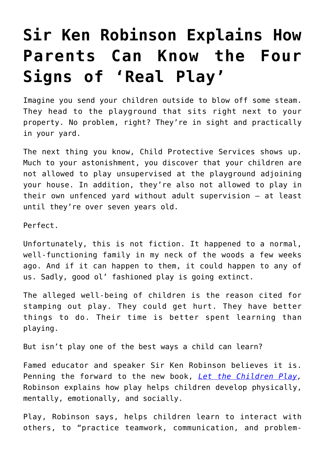## **[Sir Ken Robinson Explains How](https://intellectualtakeout.org/2019/08/sir-ken-robinson-explains-how-parents-can-know-the-four-signs-of-real-play/) [Parents Can Know the Four](https://intellectualtakeout.org/2019/08/sir-ken-robinson-explains-how-parents-can-know-the-four-signs-of-real-play/) [Signs of 'Real Play'](https://intellectualtakeout.org/2019/08/sir-ken-robinson-explains-how-parents-can-know-the-four-signs-of-real-play/)**

Imagine you send your children outside to blow off some steam. They head to the playground that sits right next to your property. No problem, right? They're in sight and practically in your yard.

The next thing you know, Child Protective Services shows up. Much to your astonishment, you discover that your children are not allowed to play unsupervised at the playground adjoining your house. In addition, they're also not allowed to play in their own unfenced yard without adult supervision – at least until they're over seven years old.

Perfect.

Unfortunately, this is not fiction. It happened to a normal, well-functioning family in my neck of the woods a few weeks ago. And if it can happen to them, it could happen to any of us. Sadly, good ol' fashioned play is going extinct.

The alleged well-being of children is the reason cited for stamping out play. They could get hurt. They have better things to do. Their time is better spent learning than playing.

But isn't play one of the best ways a child can learn?

Famed educator and speaker Sir Ken Robinson believes it is. Penning the forward to the new book, *[Let the Children Play,](https://www.amazon.com/gp/product/0190930969/ref=as_li_qf_asin_il_tl?ie=UTF8&tag=intelltakeo0d-20&creative=9325&linkCode=as2&creativeASIN=0190930969&linkId=d8c05f7442578126f1ba044532e1695f)* Robinson explains how play helps children develop physically, mentally, emotionally, and socially.

Play, Robinson says, helps children learn to interact with others, to "practice teamwork, communication, and problem-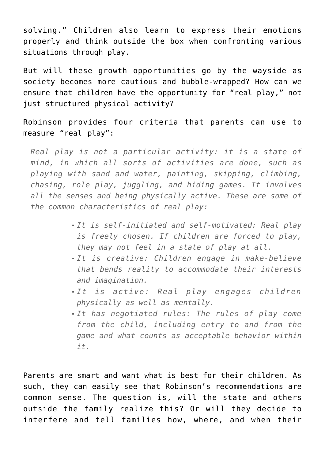solving." Children also learn to express their emotions properly and think outside the box when confronting various situations through play.

But will these growth opportunities go by the wayside as society becomes more cautious and bubble-wrapped? How can we ensure that children have the opportunity for "real play," not just structured physical activity?

Robinson provides four criteria that parents can use to measure "real play":

*Real play is not a particular activity: it is a state of mind, in which all sorts of activities are done, such as playing with sand and water, painting, skipping, climbing, chasing, role play, juggling, and hiding games. It involves all the senses and being physically active. These are some of the common characteristics of real play:*

- *It is self-initiated and self-motivated: Real play is freely chosen. If children are forced to play, they may not feel in a state of play at all.*
- *It is creative: Children engage in make-believe that bends reality to accommodate their interests and imagination.*
- *It is active: Real play engages children physically as well as mentally.*
- *It has negotiated rules: The rules of play come from the child, including entry to and from the game and what counts as acceptable behavior within it.*

Parents are smart and want what is best for their children. As such, they can easily see that Robinson's recommendations are common sense. The question is, will the state and others outside the family realize this? Or will they decide to interfere and tell families how, where, and when their